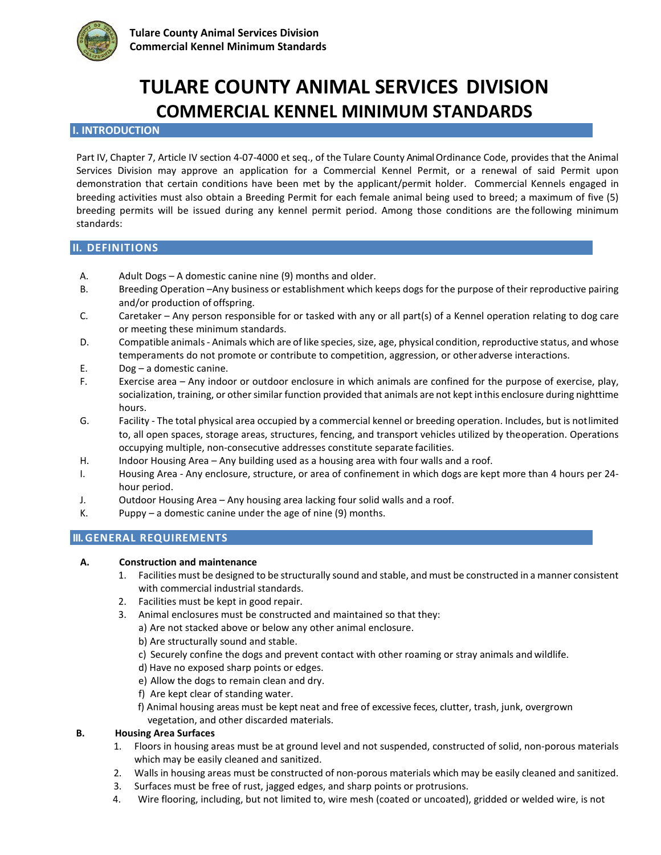

# **TULARE COUNTY ANIMAL SERVICES DIVISION COMMERCIAL KENNEL MINIMUM STANDARDS**

## **I. INTRODUCTION**

Part IV, Chapter 7, Article IV section 4-07-4000 et seq., of the Tulare County Animal Ordinance Code, provides that the Animal Services Division may approve an application for a Commercial Kennel Permit, or a renewal of said Permit upon demonstration that certain conditions have been met by the applicant/permit holder. Commercial Kennels engaged in breeding activities must also obtain a Breeding Permit for each female animal being used to breed; a maximum of five (5) breeding permits will be issued during any kennel permit period. Among those conditions are the following minimum standards:

## **II. DEFINITIONS**

- A. Adult Dogs A domestic canine nine (9) months and older.
- B. Breeding Operation –Any business or establishment which keeps dogs for the purpose of their reproductive pairing and/or production of offspring.
- C. Caretaker Any person responsible for or tasked with any or all part(s) of a Kennel operation relating to dog care or meeting these minimum standards.
- D. Compatible animals- Animals which are of like species, size, age, physical condition, reproductive status, and whose temperaments do not promote or contribute to competition, aggression, or otheradverse interactions.
- E. Dog a domestic canine.
- F. Exercise area Any indoor or outdoor enclosure in which animals are confined for the purpose of exercise, play, socialization, training, or other similar function provided that animals are not kept inthis enclosure during nighttime hours.
- G. Facility The total physical area occupied by a commercial kennel or breeding operation. Includes, but is notlimited to, all open spaces, storage areas, structures, fencing, and transport vehicles utilized by theoperation. Operations occupying multiple, non-consecutive addresses constitute separate facilities.
- H. Indoor Housing Area Any building used as a housing area with four walls and a roof.
- I. Housing Area Any enclosure, structure, or area of confinement in which dogs are kept more than 4 hours per 24 hour period.
- J. Outdoor Housing Area Any housing area lacking four solid walls and a roof.
- K. Puppy a domestic canine under the age of nine (9) months.

# **III.GENERAL REQUIREMENTS**

## **A. Construction and maintenance**

- 1. Facilities must be designed to be structurally sound and stable, and must be constructed in a manner consistent with commercial industrial standards.
- 2. Facilities must be kept in good repair.
- 3. Animal enclosures must be constructed and maintained so that they:
	- a) Are not stacked above or below any other animal enclosure.
	- b) Are structurally sound and stable.
	- c) Securely confine the dogs and prevent contact with other roaming or stray animals and wildlife.
	- d) Have no exposed sharp points or edges.
	- e) Allow the dogs to remain clean and dry.
	- f) Are kept clear of standing water.
	- f) Animal housing areas must be kept neat and free of excessive feces, clutter, trash, junk, overgrown vegetation, and other discarded materials.

## **B. Housing Area Surfaces**

- 1. Floors in housing areas must be at ground level and not suspended, constructed of solid, non-porous materials which may be easily cleaned and sanitized.
- 2. Walls in housing areas must be constructed of non-porous materials which may be easily cleaned and sanitized.
- 3. Surfaces must be free of rust, jagged edges, and sharp points or protrusions.
- 4. Wire flooring, including, but not limited to, wire mesh (coated or uncoated), gridded or welded wire, is not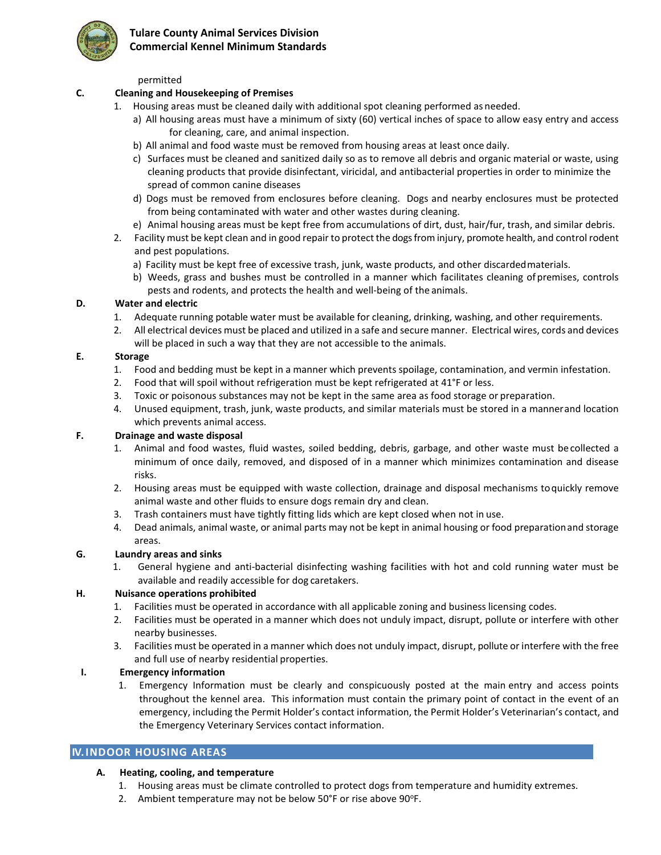

#### permitted

## **C. Cleaning and Housekeeping of Premises**

- 1. Housing areas must be cleaned daily with additional spot cleaning performed as needed.
	- a) All housing areas must have a minimum of sixty (60) vertical inches of space to allow easy entry and access for cleaning, care, and animal inspection.
	- b) All animal and food waste must be removed from housing areas at least once daily.
	- c) Surfaces must be cleaned and sanitized daily so as to remove all debris and organic material or waste, using cleaning products that provide disinfectant, viricidal, and antibacterial properties in order to minimize the spread of common canine diseases
	- d) Dogs must be removed from enclosures before cleaning. Dogs and nearby enclosures must be protected from being contaminated with water and other wastes during cleaning.
	- e) Animal housing areas must be kept free from accumulations of dirt, dust, hair/fur, trash, and similar debris.
- 2. Facility must be kept clean and in good repair to protect the dogsfrom injury, promote health, and control rodent and pest populations.
	- a) Facility must be kept free of excessive trash, junk, waste products, and other discardedmaterials.
	- b) Weeds, grass and bushes must be controlled in a manner which facilitates cleaning of premises, controls pests and rodents, and protects the health and well-being of the animals.

## **D. Water and electric**

- 1. Adequate running potable water must be available for cleaning, drinking, washing, and other requirements.
- 2. All electrical devices must be placed and utilized in a safe and secure manner. Electrical wires, cords and devices will be placed in such a way that they are not accessible to the animals.

## **E. Storage**

- 1. Food and bedding must be kept in a manner which prevents spoilage, contamination, and vermin infestation.
- 2. Food that will spoil without refrigeration must be kept refrigerated at 41°F or less.
- 3. Toxic or poisonous substances may not be kept in the same area as food storage or preparation.
- 4. Unused equipment, trash, junk, waste products, and similar materials must be stored in a mannerand location which prevents animal access.

## **F. Drainage and waste disposal**

- 1. Animal and food wastes, fluid wastes, soiled bedding, debris, garbage, and other waste must becollected a minimum of once daily, removed, and disposed of in a manner which minimizes contamination and disease risks.
- 2. Housing areas must be equipped with waste collection, drainage and disposal mechanisms toquickly remove animal waste and other fluids to ensure dogs remain dry and clean.
- 3. Trash containers must have tightly fitting lids which are kept closed when not in use.
- 4. Dead animals, animal waste, or animal parts may not be kept in animal housing or food preparationand storage areas.

## **G. Laundry areas and sinks**

1. General hygiene and anti-bacterial disinfecting washing facilities with hot and cold running water must be available and readily accessible for dog caretakers.

# **H. Nuisance operations prohibited**

- 1. Facilities must be operated in accordance with all applicable zoning and business licensing codes.
- 2. Facilities must be operated in a manner which does not unduly impact, disrupt, pollute or interfere with other nearby businesses.
- 3. Facilities must be operated in a manner which does not unduly impact, disrupt, pollute or interfere with the free and full use of nearby residential properties.

## **I. Emergency information**

1. Emergency Information must be clearly and conspicuously posted at the main entry and access points throughout the kennel area. This information must contain the primary point of contact in the event of an emergency, including the Permit Holder's contact information, the Permit Holder's Veterinarian's contact, and the Emergency Veterinary Services contact information.

# **IV. INDOOR HOUSING AREAS**

## **A. Heating, cooling, and temperature**

- 1. Housing areas must be climate controlled to protect dogs from temperature and humidity extremes.
- 2. Ambient temperature may not be below 50°F or rise above 90°F.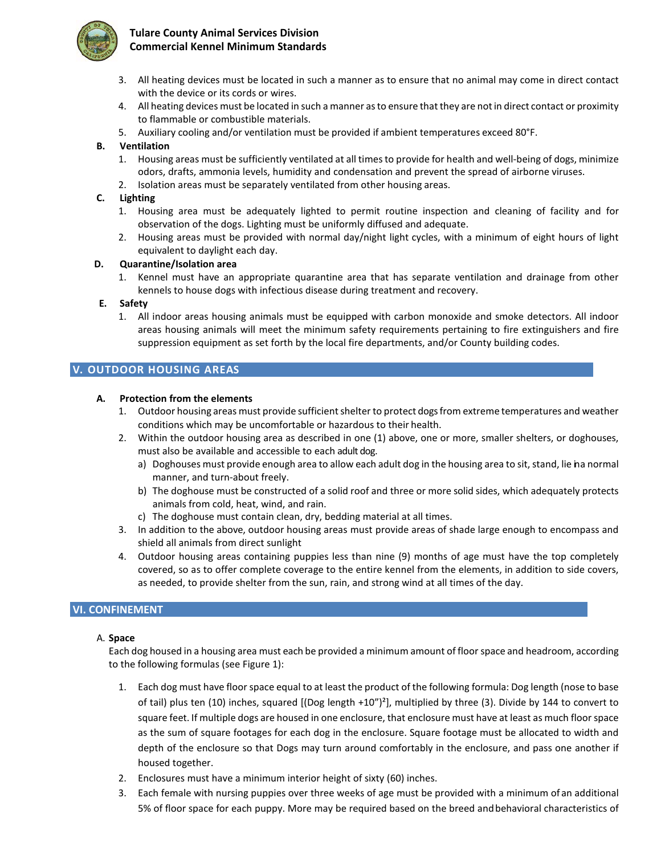

# **Tulare County Animal Services Division Commercial Kennel Minimum Standards**

- 3. All heating devices must be located in such a manner as to ensure that no animal may come in direct contact with the device or its cords or wires.
- 4. All heating devices must be located in such a manner asto ensure that they are notin direct contact or proximity to flammable or combustible materials.
- 5. Auxiliary cooling and/or ventilation must be provided if ambient temperatures exceed 80°F.

## **B. Ventilation**

- 1. Housing areas must be sufficiently ventilated at all timesto provide for health and well-being of dogs, minimize odors, drafts, ammonia levels, humidity and condensation and prevent the spread of airborne viruses.
- 2. Isolation areas must be separately ventilated from other housing areas.

## **C. Lighting**

- 1. Housing area must be adequately lighted to permit routine inspection and cleaning of facility and for observation of the dogs. Lighting must be uniformly diffused and adequate.
- 2. Housing areas must be provided with normal day/night light cycles, with a minimum of eight hours of light equivalent to daylight each day.

#### **D. Quarantine/Isolation area**

1. Kennel must have an appropriate quarantine area that has separate ventilation and drainage from other kennels to house dogs with infectious disease during treatment and recovery.

#### **E. Safety**

1. All indoor areas housing animals must be equipped with carbon monoxide and smoke detectors. All indoor areas housing animals will meet the minimum safety requirements pertaining to fire extinguishers and fire suppression equipment as set forth by the local fire departments, and/or County building codes.

## **V. OUTDOOR HOUSING AREAS**

#### **A. Protection from the elements**

- 1. Outdoor housing areas must provide sufficient shelter to protect dogs from extreme temperatures and weather conditions which may be uncomfortable or hazardous to their health.
- 2. Within the outdoor housing area as described in one (1) above, one or more, smaller shelters, or doghouses, must also be available and accessible to each adult dog.
	- a) Doghouses must provide enough area to allow each adult dog in the housing area to sit, stand, lie ina normal manner, and turn-about freely.
	- b) The doghouse must be constructed of a solid roof and three or more solid sides, which adequately protects animals from cold, heat, wind, and rain.
	- c) The doghouse must contain clean, dry, bedding material at all times.
- 3. In addition to the above, outdoor housing areas must provide areas of shade large enough to encompass and shield all animals from direct sunlight
- 4. Outdoor housing areas containing puppies less than nine (9) months of age must have the top completely covered, so as to offer complete coverage to the entire kennel from the elements, in addition to side covers, as needed, to provide shelter from the sun, rain, and strong wind at all times of the day.

## **VI. CONFINEMENT**

#### A. **Space**

Each dog housed in a housing area must each be provided a minimum amount of floorspace and headroom, according to the following formulas (see Figure 1):

- 1. Each dog must have floor space equal to at least the product of the following formula: Dog length (nose to base of tail) plus ten (10) inches, squared [(Dog length +10")<sup>2</sup>], multiplied by three (3). Divide by 144 to convert to square feet. If multiple dogs are housed in one enclosure, that enclosure must have at least as much floor space as the sum of square footages for each dog in the enclosure. Square footage must be allocated to width and depth of the enclosure so that Dogs may turn around comfortably in the enclosure, and pass one another if housed together.
- 2. Enclosures must have a minimum interior height of sixty (60) inches.
- 3. Each female with nursing puppies over three weeks of age must be provided with a minimum of an additional 5% of floor space for each puppy. More may be required based on the breed andbehavioral characteristics of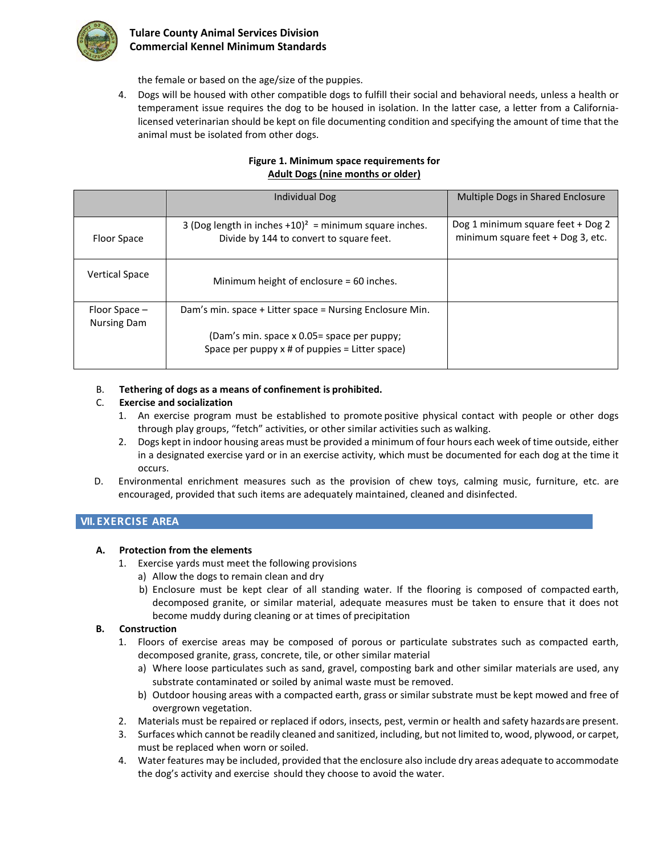

the female or based on the age/size of the puppies.

4. Dogs will be housed with other compatible dogs to fulfill their social and behavioral needs, unless a health or temperament issue requires the dog to be housed in isolation. In the latter case, a letter from a Californialicensed veterinarian should be kept on file documenting condition and specifying the amount of time that the animal must be isolated from other dogs.

# **Figure 1. Minimum space requirements for Adult Dogs (nine months or older)**

|                                       | Individual Dog                                                                                                    | Multiple Dogs in Shared Enclosure                                      |
|---------------------------------------|-------------------------------------------------------------------------------------------------------------------|------------------------------------------------------------------------|
| Floor Space                           | 3 (Dog length in inches $+10$ ) <sup>2</sup> = minimum square inches.<br>Divide by 144 to convert to square feet. | Dog 1 minimum square feet + Dog 2<br>minimum square feet + Dog 3, etc. |
| <b>Vertical Space</b>                 | Minimum height of enclosure = 60 inches.                                                                          |                                                                        |
| Floor Space $-$<br><b>Nursing Dam</b> | Dam's min. space + Litter space = Nursing Enclosure Min.                                                          |                                                                        |
|                                       | (Dam's min. space x 0.05 = space per puppy;<br>Space per puppy $x \#$ of puppies = Litter space)                  |                                                                        |

## B. **Tethering of dogs as a means of confinement is prohibited.**

## C. **Exercise and socialization**

- 1. An exercise program must be established to promote positive physical contact with people or other dogs through play groups, "fetch" activities, or other similar activities such as walking.
- 2. Dogs kept in indoor housing areas must be provided a minimum of four hours each week of time outside, either in a designated exercise yard or in an exercise activity, which must be documented for each dog at the time it occurs.
- D. Environmental enrichment measures such as the provision of chew toys, calming music, furniture, etc. are encouraged, provided that such items are adequately maintained, cleaned and disinfected.

# **VII. EXERCISE AREA**

## **A. Protection from the elements**

- 1. Exercise yards must meet the following provisions
	- a) Allow the dogs to remain clean and dry
	- b) Enclosure must be kept clear of all standing water. If the flooring is composed of compacted earth, decomposed granite, or similar material, adequate measures must be taken to ensure that it does not become muddy during cleaning or at times of precipitation

## **B. Construction**

- 1. Floors of exercise areas may be composed of porous or particulate substrates such as compacted earth, decomposed granite, grass, concrete, tile, or other similar material
	- a) Where loose particulates such as sand, gravel, composting bark and other similar materials are used, any substrate contaminated or soiled by animal waste must be removed.
	- b) Outdoor housing areas with a compacted earth, grass or similar substrate must be kept mowed and free of overgrown vegetation.
- 2. Materials must be repaired or replaced if odors, insects, pest, vermin or health and safety hazardsare present.
- 3. Surfaces which cannot be readily cleaned and sanitized, including, but not limited to, wood, plywood, or carpet, must be replaced when worn or soiled.
- 4. Water features may be included, provided that the enclosure also include dry areas adequate to accommodate the dog's activity and exercise should they choose to avoid the water.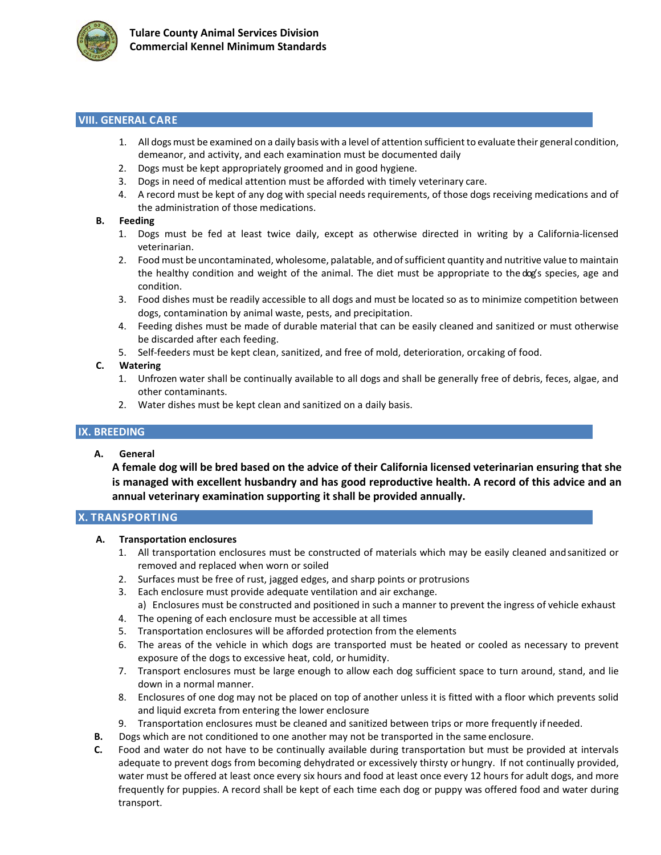

#### **VIII. GENERAL CARE**

- 1. All dogsmust be examined on a daily basis with a level of attention sufficient to evaluate their general condition, demeanor, and activity, and each examination must be documented daily
- 2. Dogs must be kept appropriately groomed and in good hygiene.
- 3. Dogs in need of medical attention must be afforded with timely veterinary care.
- 4. A record must be kept of any dog with special needs requirements, of those dogs receiving medications and of the administration of those medications.

#### **B. Feeding**

- 1. Dogs must be fed at least twice daily, except as otherwise directed in writing by a California-licensed veterinarian.
- 2. Food must be uncontaminated, wholesome, palatable, and ofsufficient quantity and nutritive value to maintain the healthy condition and weight of the animal. The diet must be appropriate to the dog's species, age and condition.
- 3. Food dishes must be readily accessible to all dogs and must be located so as to minimize competition between dogs, contamination by animal waste, pests, and precipitation.
- 4. Feeding dishes must be made of durable material that can be easily cleaned and sanitized or must otherwise be discarded after each feeding.
- 5. Self-feeders must be kept clean, sanitized, and free of mold, deterioration, orcaking of food.

#### **C. Watering**

- 1. Unfrozen water shall be continually available to all dogs and shall be generally free of debris, feces, algae, and other contaminants.
- 2. Water dishes must be kept clean and sanitized on a daily basis.

## **IX. BREEDING**

**A. General**

1. **A female dog will be bred based on the advice of their California licensed veterinarian ensuring that she is managed with excellent husbandry and has good reproductive health. A record of this advice and an annual veterinary examination supporting it shall be provided annually.**

## **X. TRANSPORTING**

#### **A. Transportation enclosures**

- 1. All transportation enclosures must be constructed of materials which may be easily cleaned andsanitized or removed and replaced when worn or soiled
- 2. Surfaces must be free of rust, jagged edges, and sharp points or protrusions
- 3. Each enclosure must provide adequate ventilation and air exchange.
- a) Enclosures must be constructed and positioned in such a manner to prevent the ingress of vehicle exhaust
- 4. The opening of each enclosure must be accessible at all times
- 5. Transportation enclosures will be afforded protection from the elements
- 6. The areas of the vehicle in which dogs are transported must be heated or cooled as necessary to prevent exposure of the dogs to excessive heat, cold, or humidity.
- 7. Transport enclosures must be large enough to allow each dog sufficient space to turn around, stand, and lie down in a normal manner.
- 8. Enclosures of one dog may not be placed on top of another unless it is fitted with a floor which prevents solid and liquid excreta from entering the lower enclosure
- 9. Transportation enclosures must be cleaned and sanitized between trips or more frequently if needed.
- **B.** Dogs which are not conditioned to one another may not be transported in the same enclosure.
- **C.** Food and water do not have to be continually available during transportation but must be provided at intervals adequate to prevent dogs from becoming dehydrated or excessively thirsty or hungry. If not continually provided, water must be offered at least once every six hours and food at least once every 12 hours for adult dogs, and more frequently for puppies. A record shall be kept of each time each dog or puppy was offered food and water during transport.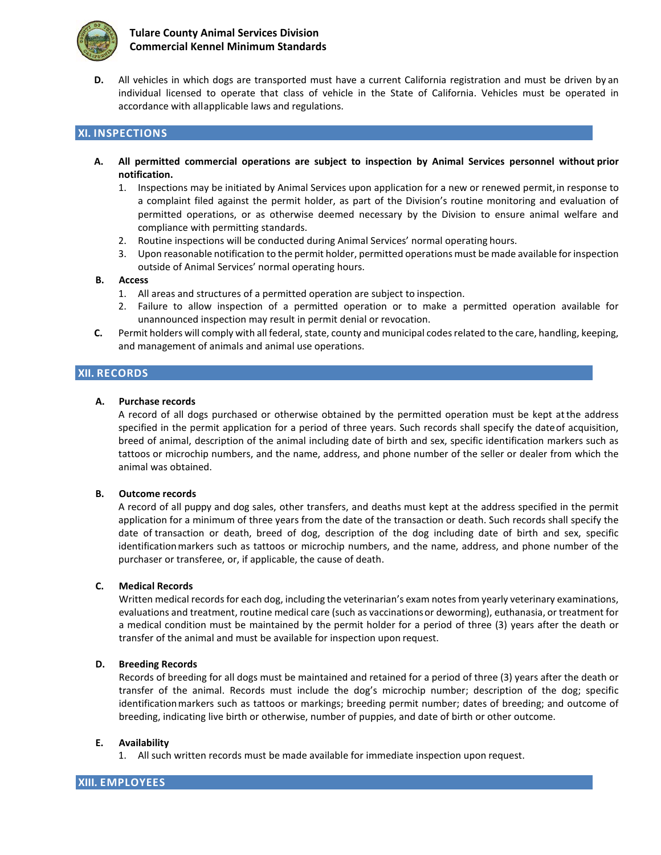

**D.** All vehicles in which dogs are transported must have a current California registration and must be driven by an individual licensed to operate that class of vehicle in the State of California. Vehicles must be operated in accordance with allapplicable laws and regulations.

#### **XI. INSPECTIONS**

- **A. All permitted commercial operations are subject to inspection by Animal Services personnel without prior notification.**
	- 1. Inspections may be initiated by Animal Services upon application for a new or renewed permit,in response to a complaint filed against the permit holder, as part of the Division's routine monitoring and evaluation of permitted operations, or as otherwise deemed necessary by the Division to ensure animal welfare and compliance with permitting standards.
	- 2. Routine inspections will be conducted during Animal Services' normal operating hours.
	- 3. Upon reasonable notification to the permit holder, permitted operations must be made available for inspection outside of Animal Services' normal operating hours.

#### **B. Access**

- 1. All areas and structures of a permitted operation are subject to inspection.
- 2. Failure to allow inspection of a permitted operation or to make a permitted operation available for unannounced inspection may result in permit denial or revocation.
- **C.** Permit holders will comply with all federal, state, county and municipal codesrelated to the care, handling, keeping, and management of animals and animal use operations.

#### **XII. RECORDS**

#### **A. Purchase records**

A record of all dogs purchased or otherwise obtained by the permitted operation must be kept atthe address specified in the permit application for a period of three years. Such records shall specify the dateof acquisition, breed of animal, description of the animal including date of birth and sex, specific identification markers such as tattoos or microchip numbers, and the name, address, and phone number of the seller or dealer from which the animal was obtained.

#### **B. Outcome records**

A record of all puppy and dog sales, other transfers, and deaths must kept at the address specified in the permit application for a minimum of three years from the date of the transaction or death. Such records shall specify the date of transaction or death, breed of dog, description of the dog including date of birth and sex, specific identificationmarkers such as tattoos or microchip numbers, and the name, address, and phone number of the purchaser or transferee, or, if applicable, the cause of death.

#### **C. Medical Records**

Written medical records for each dog, including the veterinarian's exam notes from yearly veterinary examinations, evaluations and treatment, routine medical care (such as vaccinationsor deworming), euthanasia, or treatment for a medical condition must be maintained by the permit holder for a period of three (3) years after the death or transfer of the animal and must be available for inspection upon request.

#### **D. Breeding Records**

Records of breeding for all dogs must be maintained and retained for a period of three (3) years after the death or transfer of the animal. Records must include the dog's microchip number; description of the dog; specific identificationmarkers such as tattoos or markings; breeding permit number; dates of breeding; and outcome of breeding, indicating live birth or otherwise, number of puppies, and date of birth or other outcome.

#### **E. Availability**

1. All such written records must be made available for immediate inspection upon request.